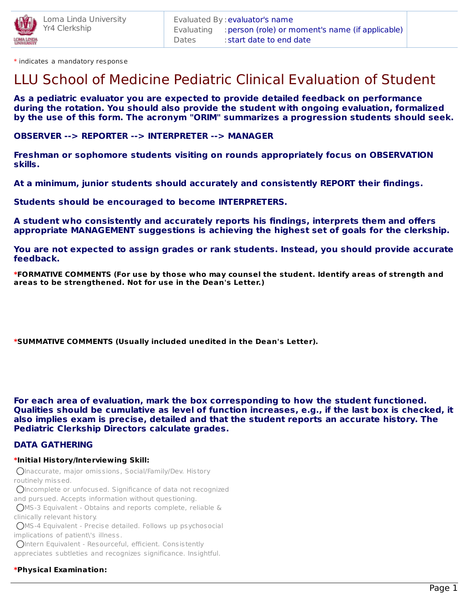

\* indicates a mandatory response

# LLU School of Medicine Pediatric Clinical Evaluation of Student

**As a pediatric evaluator you are expected to provide detailed feedback on performance during the rotation. You should also provide the student with ongoing evaluation, formalized by the use of this form. The acronym "ORIM" summarizes a progression students should seek.**

**OBSERVER --> REPORTER --> INTERPRETER --> MANAGER**

**Freshman or sophomore students visiting on rounds appropriately focus on OBSERVATION skills.**

**At a minimum, junior students should accurately and consistently REPORT their findings.**

**Students should be encouraged to become INTERPRETERS.**

**A student who consistently and accurately reports his findings, interprets them and offers appropriate MANAGEMENT suggestions is achieving the highest set of goals for the clerkship.**

**You are not expected to assign grades or rank students. Instead, you should provide accurate feedback.**

**\*FORMATIVE COMMENTS (For use by those who may counsel the student. Identify areas of strength and areas to be strengthened. Not for use in the Dean's Letter.)**

**\*SUMMATIVE COMMENTS (Usually included unedited in the Dean's Letter).**

**For each area of evaluation, mark the box corresponding to how the student functioned. Qualities should be cumulative as level of function increases, e.g., if the last box is checked, it also implies exam is precise, detailed and that the student reports an accurate history. The Pediatric Clerkship Directors calculate grades.**

### **DATA GATHERING**

#### **\*Initial History/Interviewing Skill:**

Inaccurate, major omissions, Social/Family/Dev. History routinely missed.

Incomplete or unfocused. Significance of data not recognized and pursued. Accepts information without questioning.

MS-3 Equivalent - Obtains and reports complete, reliable &

clinically relevant history.

MS-4 Equivalent - Precise detailed. Follows up psychosocial implications of patient\'s illness.

Intern Equivalent - Resourceful, efficient. Consistently appreciates subtleties and recognizes significance. Insightful.

### **\*Physical Examination:**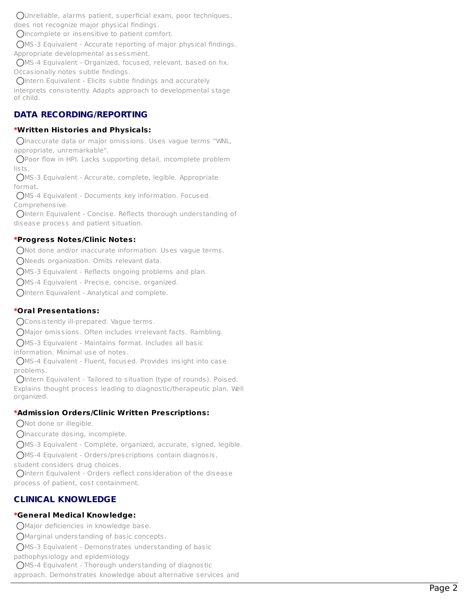Unreliable, alarms patient, superficial exam, poor techniques, does not recognize major physical findings.

Incomplete or insensitive to patient comfort.

MS-3 Equivalent - Accurate reporting of major physical findings.

Appropriate developmental assessment.

MS-4 Equivalent - Organized, focused, relevant, based on hx. Occasionally notes subtle findings.

 $Q$ Intern Equivalent - Elicits subtle findings and accurately interprets consistently. Adapts approach to developmental stage of child.

### **DATA RECORDING/REPORTING**

### **\*Written Histories and Physicals:**

Inaccurate data or major omissions. Uses vague terms "WNL, appropriate, unremarkable".

Poor flow in HPI. Lacks supporting detail, incomplete problem lists.

MS-3 Equivalent - Accurate, complete, legible. Appropriate format.

MS-4 Equivalent - Documents key information. Focused. Comprehensive.

Intern Equivalent - Concise. Reflects thorough understanding of disease process and patient situation.

### **\*Progress Notes/Clinic Notes:**

Not done and/or inaccurate information. Uses vague terms.

Needs organization. Omits relevant data.

MS-3 Equivalent - Reflects ongoing problems and plan.

MS-4 Equivalent - Precise, concise, organized.

Intern Equivalent - Analytical and complete.

### **\*Oral Presentations:**

Consistently ill-prepared. Vaque terms.

Major omissions. Often includes irrelevant facts. Rambling.

MS-3 Equivalent - Maintains format. Includes all basic

information. Minimal use of notes.

MS-4 Equivalent - Fluent, focused. Provides insight into case problems.

OIntern Equivalent - Tailored to situation (type of rounds). Poised. Explains thought process leading to diagnostic/therapeutic plan. Well organized.

### **\*Admission Orders/Clinic Written Prescriptions:**

ONot done or illegible.

OInaccurate dosing, incomplete.

MS-3 Equivalent - Complete, organized, accurate, signed, legible.

MS-4 Equivalent - Orders/prescriptions contain diagnosis,

student considers drug choices.

OIntern Equivalent - Orders reflect consideration of the disease process of patient, cost containment.

### **CLINICAL KNOWLEDGE**

### **\*General Medical Knowledge:**

Major deficiencies in knowledge base.

Marginal understanding of basic concepts.

MS-3 Equivalent - Demonstrates understanding of basic

pathophysiology and epidemiology.

MS-4 Equivalent - Thorough understanding of diagnostic

approach. Demonstrates knowledge about alternative services and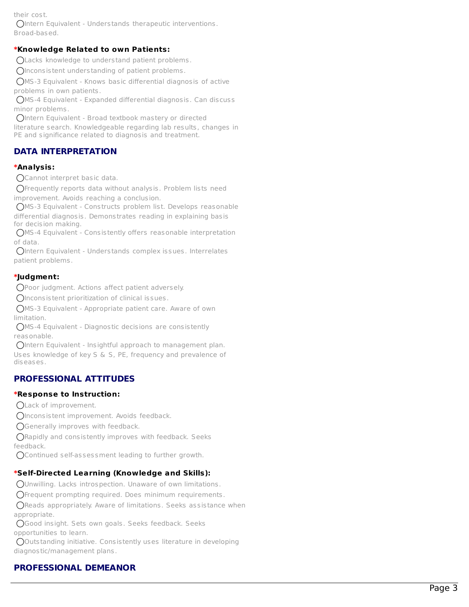their cost.

Intern Equivalent - Understands therapeutic interventions. Broad-based.

### **\*Knowledge Related to own Patients:**

Lacks knowledge to understand patient problems.

Inconsistent understanding of patient problems.

MS-3 Equivalent - Knows basic differential diagnosis of active problems in own patients.

MS-4 Equivalent - Expanded differential diagnosis. Can discuss minor problems.

Intern Equivalent - Broad textbook mastery or directed

literature search. Knowledgeable regarding lab results, changes in PE and significance related to diagnosis and treatment.

### **DATA INTERPRETATION**

### **\*Analysis:**

Cannot interpret basic data.

Frequently reports data without analysis. Problem lists need improvement. Avoids reaching a conclusion.

MS-3 Equivalent - Constructs problem list. Develops reasona ble differential diagnosis. Demonstrates reading in explaining basis for decision making.

MS-4 Equivalent - Consistently offers reasonable interpretation o f d a t a.

Intern Equivalent - Understands complex issues. Interrelates patient problems.

### **\*Judgment:**

Poor judgment. Actions affect patient adversely.

Inconsistent prioritization of clinical issues.

MS-3 Equivalent - Appropriate patient care. Aware of own limitation.

MS-4 Equivalent - Diagnostic decisions are consistently reasonable.

Intern Equivalent - Insightful approach to management pla n. Uses knowledge of key S & S, PE, frequency and prevalence of diseases.

### **PROFESSIONAL ATTITUDES**

### **\*Response to Instruction:**

CLack of improvement.

Olnconsistent improvement. Avoids feedback.

Generally improves with feedback.

Rapidly and consistently improves with feedback. Seeks feedback.

Continued self-assessment leading to further growth.

### **\*Self-Directed Learning (Knowledge and Skills):**

Unwilling. Lacks introspection. Unaware of own limitations.

Frequent prompting required. Does minimum requirements.

Reads appropriately. Aware of limitations. Seeks assistance w h e n appropriate.

Good insight. Sets own goals. Seeks feedback. Seeks opportunities to learn.

Outstanding initiative. Consistently uses literature in developing diagnos tic/management plans.

## **PROFESSIONAL DEMEANOR**